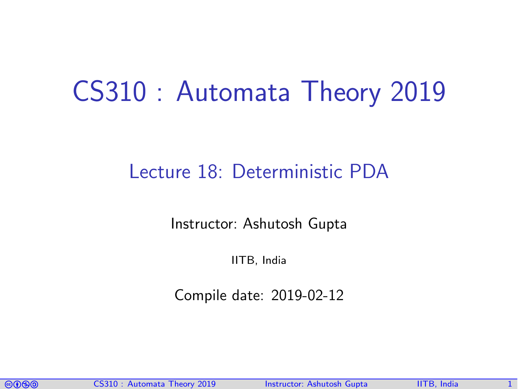# CS310 : Automata Theory 2019

### Lecture 18: Deterministic PDA

Instructor: [Ashutosh Gupta](http://www.cse.iitb.ac.in/~akg/)

IITB, India

Compile date: 2019-02-12

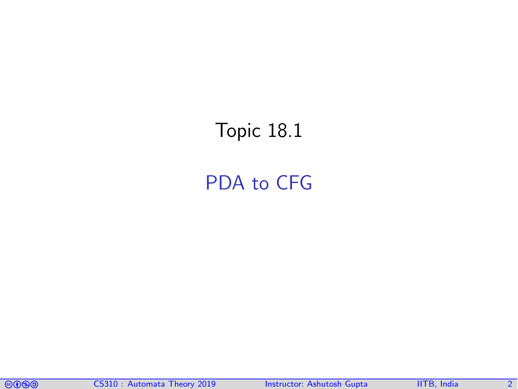## <span id="page-1-0"></span>Topic 18.1

### [PDA to CFG](#page-1-0)

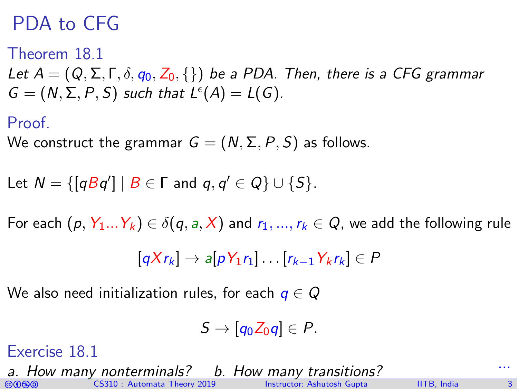### PDA to CFG

#### Theorem 18.1

<span id="page-2-0"></span>Let  $A = (Q, \Sigma, \Gamma, \delta, q_0, Z_0, \{\})$  be a PDA. Then, there is a CFG grammar  $G = (N, \Sigma, P, S)$  such that  $L^{\epsilon}(A) = L(G)$ .

#### Proof.

We construct the grammar  $G = (N, \Sigma, P, S)$  as follows.

Let 
$$
N = \{ [qBq'] \mid B \in \Gamma \text{ and } q, q' \in Q \} \cup \{S\}.
$$

For each  $(p, Y_1...Y_k) \in \delta(q, a, X)$  and  $r_1, ..., r_k \in Q$ , we add the following rule

$$
[qXr_k] \rightarrow a[pY_1r_1] \dots [r_{k-1}Y_kr_k] \in P
$$

We also need initialization rules, for each  $q \in Q$ 

$$
S\rightarrow [q_0Z_0q]\in P.
$$

#### Exercise 18.1

comata Theory 2019 Instructor: [Ashutosh Gupta](http://www.cse.iitb.ac.in/~akg/) IITB, India 3 a. How many nonterminals? b. How many transitions?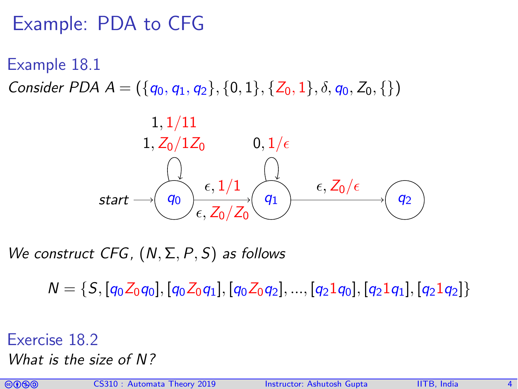### Example: PDA to CFG

Example 18.1

Consider PDA  $A = (\{q_0, q_1, q_2\}, \{0, 1\}, \{Z_0, 1\}, \delta, q_0, Z_0, \{\})$ 



We construct CFG,  $(N, \Sigma, P, S)$  as follows

 $N = \{S, [q_0Z_0q_0], [q_0Z_0q_1], [q_0Z_0q_2], ..., [q_21q_0], [q_21q_1], [q_21q_2]\}$ 

Exercise 18.2 What is the size of N?

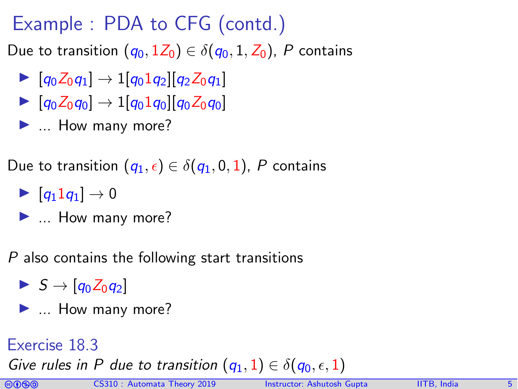Example : PDA to CFG (contd.)

Due to transition  $(q_0, 1Z_0) \in \delta(q_0, 1, Z_0)$ , P contains

- $\triangleright$   $[q_0Z_0q_1] \rightarrow 1[q_01q_2][q_2Z_0q_1]$
- $\triangleright$   $[q_0Z_0q_0] \rightarrow 1[q_01q_0][q_0Z_0q_0]$
- $\blacktriangleright$  ... How many more?

Due to transition  $(q_1, \epsilon) \in \delta(q_1, 0, 1)$ , P contains

- $\blacktriangleright$   $|q_11q_1| \rightarrow 0$
- $\blacktriangleright$  ... How many more?

P also contains the following start transitions

- $\blacktriangleright$  S  $\rightarrow$  [g<sub>0</sub>Z<sub>0</sub>g<sub>2</sub>]
- $\blacktriangleright$  ... How many more?

#### Exercise 18.3

Give rules in P due to transition  $(q_1, 1) \in \delta(q_0, \epsilon, 1)$ 

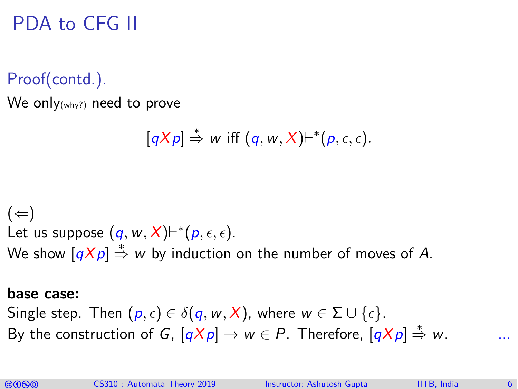### PDA to CFG II

Proof(contd.).

We only<sub>(why?)</sub> need to prove

$$
[qXp] \stackrel{*}{\Rightarrow} w \text{ iff } (q, w, X) \vdash^{*}(p, \epsilon, \epsilon).
$$

 $(\Leftarrow)$ Let us suppose  $(q, w, X) \vdash^{*}(p, \epsilon, \epsilon)$ . We show  $[qXp] \stackrel{*}{\Rightarrow} w$  by induction on the number of moves of A.

#### base case:

Single step. Then  $(p, \epsilon) \in \delta(q, w, X)$ , where  $w \in \Sigma \cup \{\epsilon\}.$ By the construction of G,  $[qXp] \to w \in P$ . Therefore,  $[qXp] \stackrel{*}{\Rightarrow} w$ .

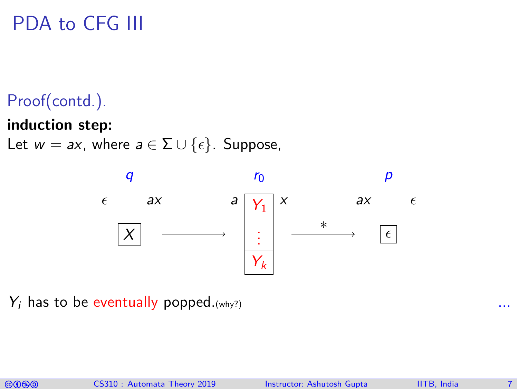## PDA to CFG III

### Proof(contd.).

#### induction step:

Let  $w = ax$ , where  $a \in \Sigma \cup \{\epsilon\}$ . Suppose,



 $Y_i$  has to be eventually popped. (why?)

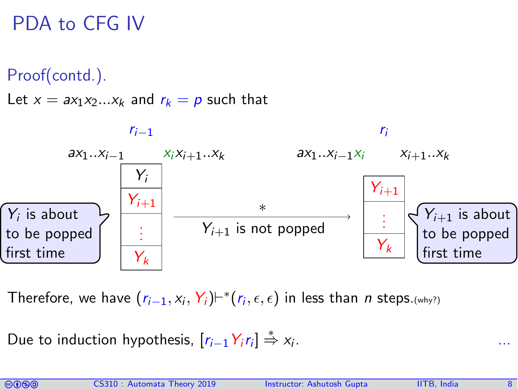PDA to CFG IV

Proof(contd.).

Let  $x = ax_1x_2...x_k$  and  $r_k = p$  such that



Therefore, we have  $(r_{i-1}, x_i, Y_i)$ ⊢ $^*(r_i, \epsilon, \epsilon)$  in less than  $n$  steps.(why?)

Due to induction hypothesis,  $[r_{i-1} Y_i r_i] \stackrel{*}{\Rightarrow} x_i$ . ...

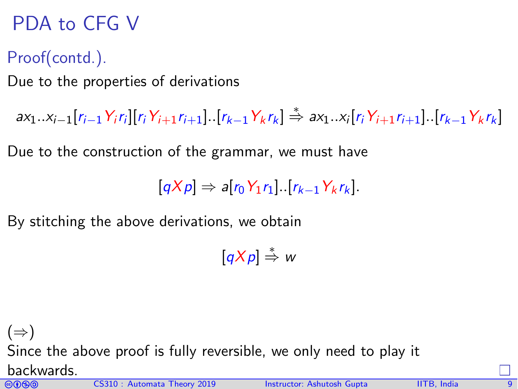## PDA to CFG V

### Proof(contd.).

Due to the properties of derivations

 $ax_1..x_{i-1}[r_{i-1}Y_ir_i][r_iY_{i+1}r_{i+1}].[r_{k-1}Y_kr_k] \stackrel{*}{\Rightarrow} ax_1..x_i[r_iY_{i+1}r_{i+1}].[r_{k-1}Y_kr_k]$ 

Due to the construction of the grammar, we must have

$$
[qXp] \Rightarrow a[r_0Y_1r_1] \cdot [r_{k-1}Y_kr_k].
$$

By stitching the above derivations, we obtain

 $[qXp] \stackrel{*}{\Rightarrow} w$ 

comata Theory 2019 Instructor: [Ashutosh Gupta](http://www.cse.iitb.ac.in/~akg/) IITB, India 90999  $(\Rightarrow)$ Since the above proof is fully reversible, we only need to play it backwards.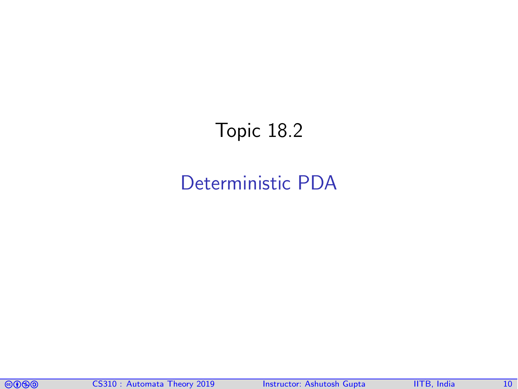### <span id="page-9-0"></span>Topic 18.2

### [Deterministic PDA](#page-9-0)

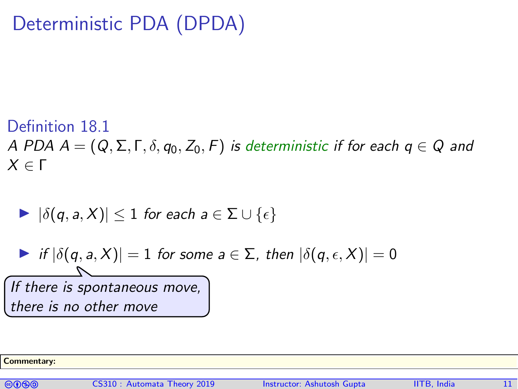### Deterministic PDA (DPDA)

#### Definition 18.1

A PDA  $A = (Q, \Sigma, \Gamma, \delta, q_0, Z_0, F)$  is deterministic if for each  $q \in Q$  and  $X \in Γ$ 

$$
\blacktriangleright |\delta(q,a,X)| \leq 1 \text{ for each } a \in \Sigma \cup \{\epsilon\}
$$

 $\triangleright$  if  $|\delta(q, a, X)| = 1$  for some  $a \in \Sigma$ , then  $|\delta(q, \epsilon, X)| = 0$ If there is spontaneous move, there is no other move

Commentary:

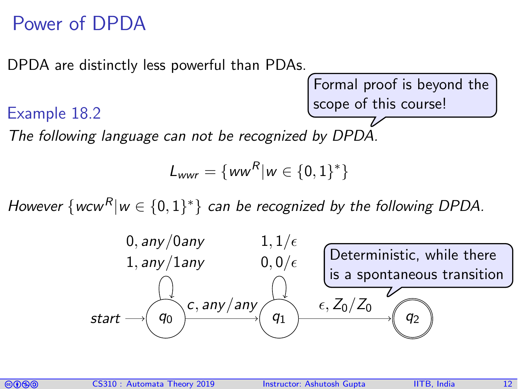### Power of DPDA

DPDA are distinctly less powerful than PDAs.

Formal proof is beyond the scope of this course!

#### Example 18.2

The following language can not be recognized by DPDA.

$$
L_{wwr} = \{ww^R|w \in \{0,1\}^*\}
$$

However  $\{wcw^R|w\in\{0,1\}^*\}$  can be recognized by the following DPDA.



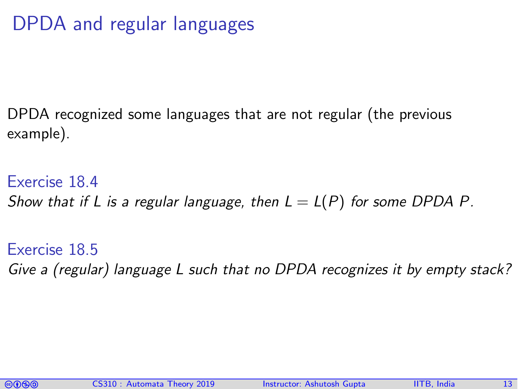## DPDA and regular languages

DPDA recognized some languages that are not regular (the previous example).

Exercise 18.4 Show that if L is a regular language, then  $L = L(P)$  for some DPDA P.

Exercise 18.5 Give a (regular) language L such that no DPDA recognizes it by empty stack?

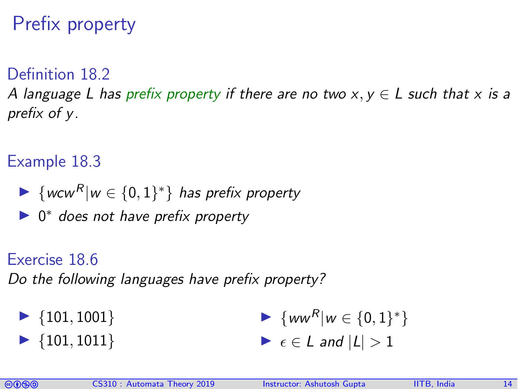## Prefix property

#### Definition 18.2

A language L has prefix property if there are no two  $x, y \in L$  such that x is a prefix of y.

#### Example 18.3

- ►  $\{ww^R|w \in \{0,1\}^*\}$  has prefix property
- ▶ 0<sup>\*</sup> does not have prefix property

#### Exercise 18.6

Do the following languages have prefix property?

 $\blacktriangleright$  {101, 1001}  $\blacktriangleright$  {101, 1011}  $\blacktriangleright \{ww^R|w \in \{0,1\}^*\}$  $\blacktriangleright$   $\epsilon \in L$  and  $|L| > 1$ 

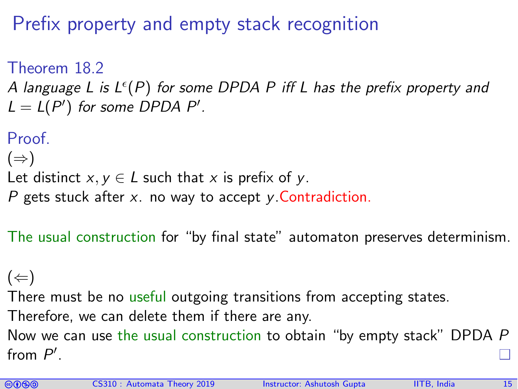Prefix property and empty stack recognition

<span id="page-14-0"></span>Theorem 18.2 A language L is L $^{\epsilon}(P)$  for some DPDA P iff L has the prefix property and  $L = L(P')$  for some DPDA P'.

```
Proof
(\Rightarrow)Let distinct x, y \in L such that x is prefix of y.
P gets stuck after x. no way to accept \gamma. Contradiction.
```
The usual construction for "by final state" automaton preserves determinism.

 $(\Leftarrow)$ There must be no useful outgoing transitions from accepting states. Therefore, we can delete them if there are any. Now we can use the usual construction to obtain "by empty stack" DPDA P from  $P'$ .

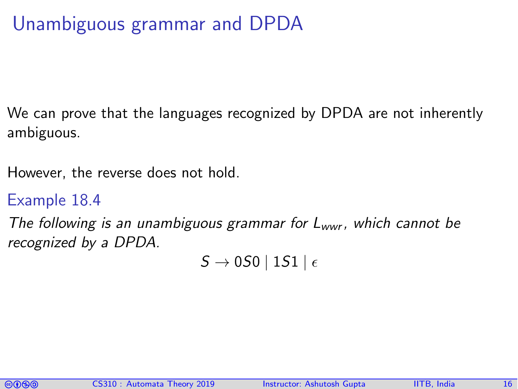## Unambiguous grammar and DPDA

We can prove that the languages recognized by DPDA are not inherently ambiguous.

However, the reverse does not hold.

#### Example 18.4

The following is an unambiguous grammar for  $L_{wwr}$ , which cannot be recognized by a DPDA.

 $S \rightarrow 0S0$  | 1S1 |  $\epsilon$ 

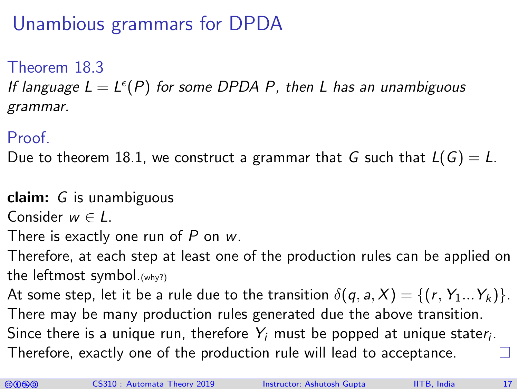## Unambious grammars for DPDA

Theorem 18.3

<span id="page-16-0"></span>If language  $L = L^{\epsilon}(P)$  for some DPDA P, then L has an unambiguous grammar.

### Proof.

Due to theorem [18.1,](#page-2-0) we construct a grammar that G such that  $L(G) = L$ .

claim: G is unambiguous

Consider  $w \in L$ .

There is exactly one run of  $P$  on  $w$ .

Therefore, at each step at least one of the production rules can be applied on the leftmost symbol.(why?)

At some step, let it be a rule due to the transition  $\delta(q, a, X) = \{(r, Y_1...Y_k)\}.$ 

There may be many production rules generated due the above transition. Since there is a unique run, therefore  $\left\langle Y_{i}\right\rangle$  must be popped at unique stater $_{i}.$ Therefore, exactly one of the production rule will lead to acceptance.

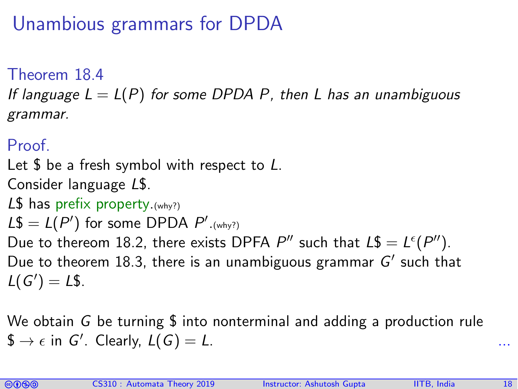## Unambious grammars for DPDA

Theorem 18.4

If language  $L = L(P)$  for some DPDA P, then L has an unambiguous grammar.

### Proof.

Let  $\frac{1}{2}$  be a fresh symbol with respect to L. Consider language L\$. L $$$  has prefix property. (why?)  $LS = L(P')$  for some DPDA  $P'_{\cdot(\text{why?})}$ Due to thereom [18.2,](#page-14-0) there exists DPFA P'' such that  $L\$  = L^{\epsilon}(P''). Due to theorem [18.3,](#page-16-0) there is an unambiguous grammar  $G'$  such that  $L(G') = L$.$ 

We obtain G be turning  $\frac{1}{2}$  into nonterminal and adding a production rule  $\$ \rightarrow \epsilon \text{ in } G'.$  Clearly,  $L(G) = L.$  ...

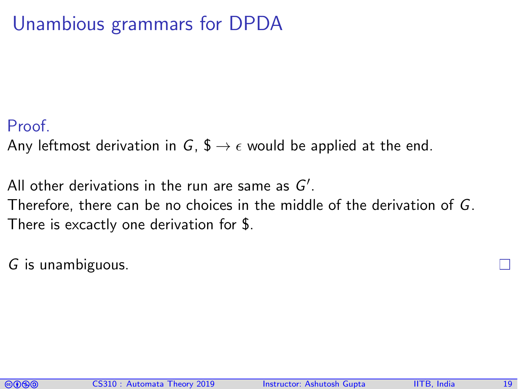### Unambious grammars for DPDA

#### Proof.

Any leftmost derivation in G,  $\oint \rightarrow \epsilon$  would be applied at the end.

All other derivations in the run are same as  $G'.$ Therefore, there can be no choices in the middle of the derivation of G. There is excactly one derivation for \$.

G is unambiguous.